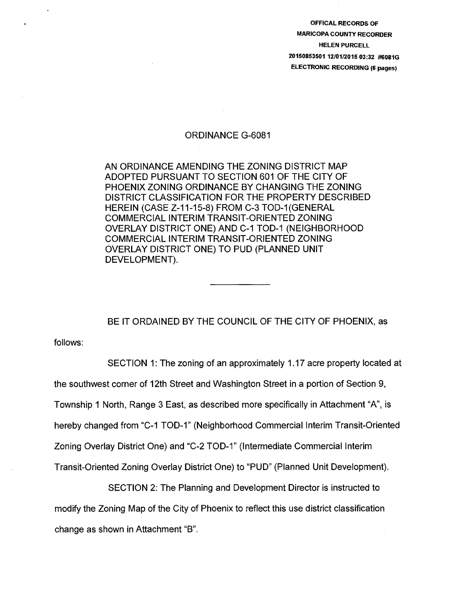OFFICAL RECORDS OF MARICOPA COUNTY RECORDER HELEN PURCELL 20150853501 1210112015 03:32 #6081G ELECTRONIC RECORDING (6 pages)

## ORDINANCE G-6081

AN ORDINANCE AMENDING THE ZONING DISTRICT MAP ADOPTED PURSUANT TO SECTION 601 OF THE CITY OF PHOENIX ZONING ORDINANCE BY CHANGING THE ZONING DISTRICT CLASSIFICATION FOR THE PROPERTY DESCRIBED HEREIN (CASE Z-11-15-8) FROM C-3 TOD-1(GENERAL COMMERCIAL INTERIM TRANSIT-ORIENTED ZONING OVERLAY DISTRICT ONE) AND C-1 TOD-1 (NEIGHBORHOOD COMMERCIAL INTERIM TRANSIT-ORIENTED ZONING OVERLAY DISTRICT ONE) TO PUD (PLANNED UNIT DEVELOPMENT).

BE IT ORDAINED BY THE COUNCIL OF THE CITY OF PHOENIX, as

follows:

SECTION 1: The zoning of an approximately 1.17 acre property located at the southwest corner of 12th Street and Washington Street in a portion of Section 9, Township 1 North, Range 3 East, as described more specifically in Attachment "A", is hereby changed from "C-1 TOD-1" (Neighborhood Commercial Interim Transit-Oriented Zoning Overlay District One) and "C-2 TOD-1" (Intermediate Commercial Interim Transit-Oriented Zoning Overlay District One) to "PUD" (Planned Unit Development).

SECTION 2: The Planning and Development Director is instructed to modify the Zoning Map of the City of Phoenix to reflect this use district classification change as shown in Attachment "B".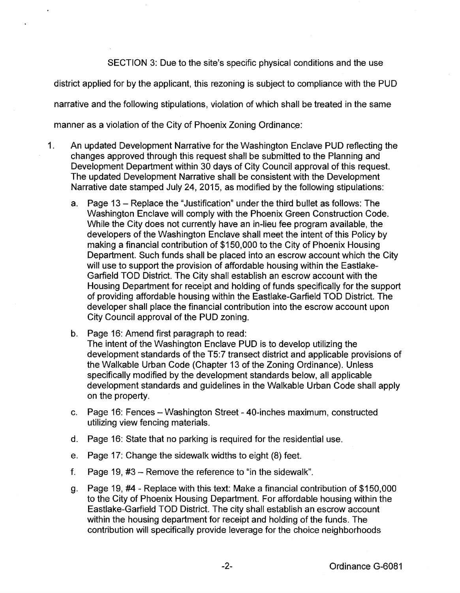SECTION 3: Due to the site's specific physical conditions and the use

district applied for by the applicant, this rezoning is subject to compliance with the PUD

narrative and the following stipulations, violation of which shall be treated in the same

manner as a violation of the City of Phoenix Zoning Ordinance:

- 1. An updated Development Narrative for the Washington Enclave PUD reflecting the changes approved through this request shall be submitted to the Planning and Development Department within 30 days of City Council approval of this request. The updated Development Narrative shall be consistent with the Development Narrative date stamped July 24, 2015, as modified by the following stipulations:
	- a. Page 13 Replace the "Justification" under the third bullet as follows: The Washington Enclave will comply with the Phoenix Green Construction Code. While the City does not currently have an in-lieu fee program available, the developers of the Washington Enclave shall meet the intent of this Policy by making a financial contribution of \$150,000 to the City of Phoenix Housing Department. Such funds shall be placed into an escrow account which the City will use to support the provision of affordable housing within the Eastlake-Garfield TOO District. The City shall establish an escrow account with the Housing Department for receipt and holding of funds specifically for the support of providing affordable housing within the Eastlake-Garfield TOO District. The developer shall place the financial contribution into the escrow account upon City Council approval of the PUD zoning.
	- b. Page 16: Amend first paragraph to read: The intent of the Washington Enclave PUD is to develop utilizing the development standards of the T5:7 transect district and applicable provisions of the Walkable Urban Code (Chapter 13 of the Zoning Ordinance). Unless specifically modified by the development standards below, all applicable development standards and guidelines in the Walkable Urban Code shall apply on the property.
	- c. Page 16: Fences- Washington Street- 40-inches maximum, constructed utilizing view fencing materials.
	- d. Page 16: State that no parking is required for the residential use.
	- e. Page 17: Change the sidewalk widths to eight (8) feet.
	- f. Page 19,  $\#3$  Remove the reference to "in the sidewalk".
	- g. Page 19, #4- Replace with this text: Make a financial contribution of \$150,000 to the City of Phoenix Housing Department. For affordable housing within the Eastlake-Garfield TOO District. The city shall establish an escrow account within the housing department for receipt and holding of the funds. The contribution will specifically provide leverage for the choice neighborhoods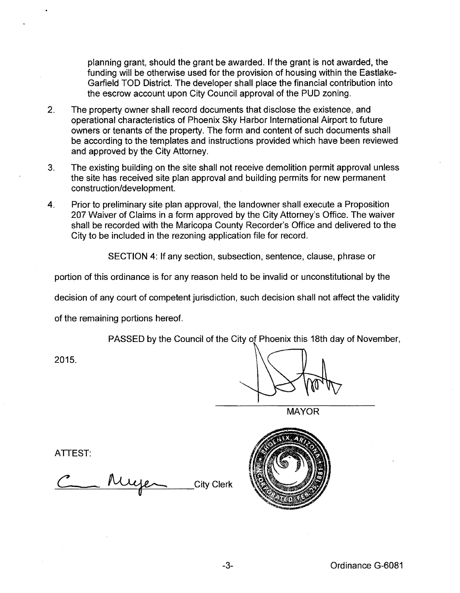planning grant, should the grant be awarded. If the grant is not awarded, the funding will be otherwise used for the provision of housing within the Eastlake-Garfield TOO District. The developer shall place the financial contribution into the escrow account upon City Council approval of the PUD zoning.

- 2. The property owner shall record documents that disclose the existence, and operational characteristics of Phoenix Sky Harbor International Airport to future owners or tenants of the property. The form and content of such documents shall be according to the templates and instructions provided which have been reviewed and approved by the City Attorney.
- 3. The existing building on the site shall not receive demolition permit approval unless the site has received site plan approval and building permits for new permanent construction/development.
- 4. Prior to preliminary site plan approval, the landowner shall execute a Proposition 207 Waiver of Claims in a form approved by the City Attorney's Office. The waiver shall be recorded with the Maricopa County Recorder's Office and delivered to the City to be included in the rezoning application file for record.

SECTION 4: If any section, subsection, sentence, clause, phrase or

portion of this ordinance is for any reason held to be invalid or unconstitutional by the

decision of any court of competent jurisdiction, such decision shall not affect the validity

of the remaining portions hereof.

PASSED by the Council of the City of Phoenix this 18th day of November,

2015.

MAYOR

ATTEST:

**City Clerk** 

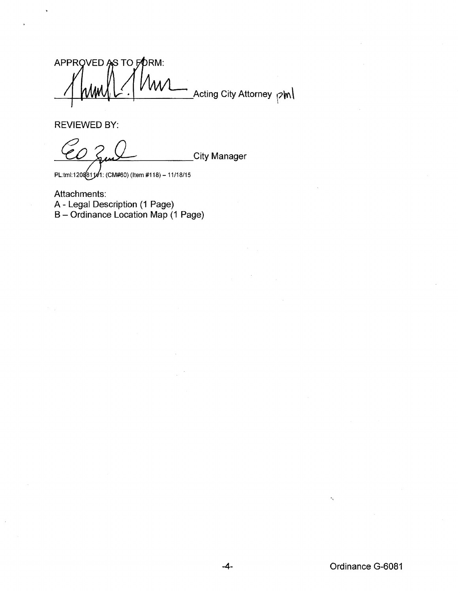APPROVED AS TO FORM: Acting City Attorney <sub>[2</sub>]m

REVIEWED BY:

City Manager

PL:tml:120881141: (CM#60) (Item #118) - 11/18/15

Attachments: A- Legal Description (1 Page) B- Ordinance Location Map (1 Page)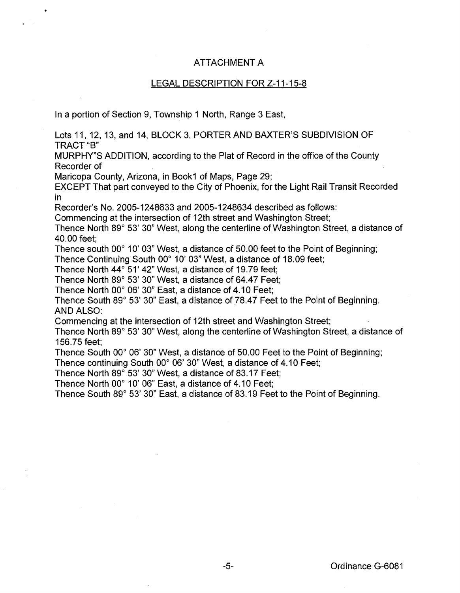## ATTACHMENT A

## LEGAL DESCRIPTION FOR Z-11-15-a

In a portion of Section 9, Township 1 North, Range 3 East,

Lots 11, 12, 13, and 14, BLOCK 3, PORTER AND BAXTER'S SUBDIVISION OF TRACT"B"

MURPHY"S ADDITION, according to the Plat of Record in the office of the County Recorder of

Maricopa County, Arizona, in Book1 of Maps, Page 2g;

EXCEPT That part conveyed to the City of Phoenix, for the Light Rail Transit Recorded in

Recorder's No. 2005-124a633 and 2005-124a634 described as follows:

Commencing at the intersection of 12th street and Washington Street;

Thence North 89° 53' 30" West, along the centerline of Washington Street, a distance of 40.00 feet;

Thence south 00° 10' 03" West, a distance of 50.00 feet to the Point of Beginning;

Thence Continuing South 00° 10' 03" West, a distance of 18.09 feet;

Thence North 44° 51' 42" West, a distance of 1g.7g feet;

Thence North 89° 53' 30" West, a distance of 64.47 Feet;

Thence North 00° 06' 30" East, a distance of 4.10 Feet;

Thence South 89° 53' 30" East, a distance of 78.47 Feet to the Point of Beginning. AND ALSO:

Commencing at the intersection of 12th street and Washington Street;

Thence North 89° 53' 30" West, along the centerline of Washington Street, a distance of 156.75 feet;

Thence South 00° 06' 30" West, a distance of 50.00 Feet to the Point of Beginning;

Thence continuing South 00° 06' 30" West, a distance of 4.10 Feet;

Thence North 89° 53' 30" West, a distance of 83.17 Feet:

Thence North 00° 10' 06" East, a distance of 4.10 Feet;

Thence South 89° 53' 30" East, a distance of 83.19 Feet to the Point of Beginning.